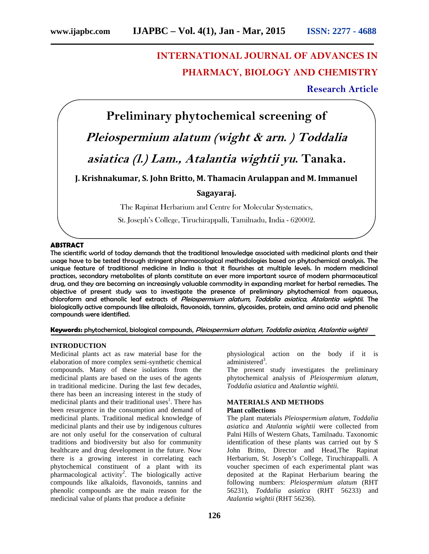# **INTERNATIONAL JOURNAL OF ADVANCES IN PHARMACY, BIOLOGY AND CHEMISTRY**

## **Research Article**



St. Joseph's College, Tiruchirappalli, Tamilnadu, India - 620002.

### **ABSTRACT**

The scientific world of today demands that the traditional knowledge associated with medicinal plants and their usage have to be tested through stringent pharmacological methodologies based on phytochemical analysis. The unique feature of traditional medicine in India is that it flourishes at multiple levels. In modern medicinal practices, secondary metabolites of plants constitute an ever more important source of modern pharmaceutical drug, and they are becoming an increasingly valuable commodity in expanding market for herbal remedies. The objective of present study was to investigate the presence of preliminary phytochemical from aqueous, chloroform and ethanolic leaf extracts of *Pleiospermium alatum, Toddalia asiatica, Atalantia wightii*. The biologically active compounds like alkaloids, flavonoids, tannins, glycosides, protein, and amino acid and phenolic compounds were identified.

### **Keywords:** phytochemical, biological compounds, *Pleiospermium alatum, Toddalia asiatica, Atalantia wightii*

### **INTRODUCTION**

Medicinal plants act as raw material base for the elaboration of more complex semi-synthetic chemical compounds. Many of these isolations from the medicinal plants are based on the uses of the agents in traditional medicine. During the last few decades, there has been an increasing interest in the study of medicinal plants and their traditional uses<sup>1</sup>. There has been resurgence in the consumption and demand of medicinal plants. Traditional medical knowledge of medicinal plants and their use by indigenous cultures are not only useful for the conservation of cultural traditions and biodiversity but also for community healthcare and drug development in the future. Now there is a growing interest in correlating each phytochemical constituent of a plant with its pharmacological activity<sup>2</sup> . The biologically active compounds like alkaloids, flavonoids, tannins and phenolic compounds are the main reason for the medicinal value of plants that produce a definite

physiological action on the body if it is administered<sup>3</sup>.

The present study investigates the preliminary phytochemical analysis of *Pleiospermium alatum, Toddalia asiatica* and *Atalantia wightii.*

### **MATERIALS AND METHODS Plant collections**

The plant materials *Pleiospermium alatum, Toddalia asiatica* and *Atalantia wightii* were collected from Palni Hills of Western Ghats, Tamilnadu. Taxonomic identification of these plants was carried out by S John Britto, Director and Head,The Rapinat Herbarium, St. Joseph's College, Tiruchirappalli. A voucher specimen of each experimental plant was deposited at the Rapinat Herbarium bearing the following numbers: *Pleiospermium alatum* (RHT 56231), *Toddalia asiatica* (RHT 56233) and *Atalantia wightii* (RHT 56236).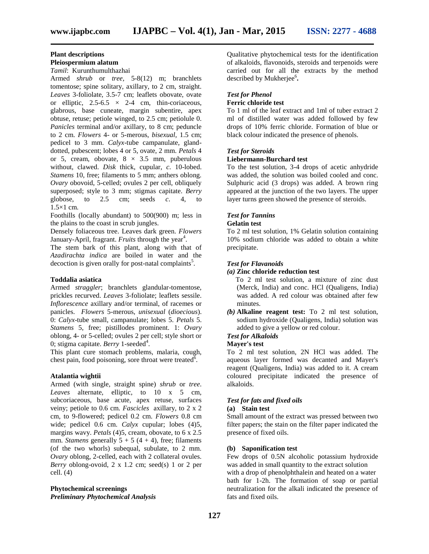### **Plant descriptions**

### **Pleiospermium alatum**

*Tamil*: Kurunthumulthazhai

Armed *shrub* or *tree,* 5-8(12) m; branchlets tomentose; spine solitary, axillary, to 2 cm, straight. *Leaves* 3-foliolate, 3.5-7 cm; leaflets obovate, ovate or elliptic,  $2.5-6.5 \times 2-4$  cm, thin-coriaceous, glabrous, base cuneate, margin subentire, apex obtuse, retuse; petiole winged, to 2.5 cm; petiolule 0. *Panicles* terminal and/or axillary, to 8 cm; peduncle to 2 cm. *Flowers* 4- or 5-merous, *bisexual,* 1.5 cm; pedicel to 3 mm. *Calyx*-tube campanulate, gland dotted, pubescent; lobes 4 or 5, ovate, 2 mm. *Petals* 4 or 5, cream, obovate,  $8 \times 3.5$  mm, puberulous without, clawed. *Disk* thick, cupular, *c*. 10-lobed. *Stamens* 10, free; filaments to 5 mm; anthers oblong. *Ovary* obovoid, 5-celled; ovules 2 per cell, obliquely superposed; style to 3 mm; stigmas capitate. *Berry* globose, to 2.5 cm; seeds c. 4, to cm; seeds  $c.4$ , to  $1.5\times1$  cm.

Foothills (locally abundant) to 500(900) m; less in the plains to the coast in scrub jungles.

Densely foliaceous tree. Leaves dark green. *Flowers* January-April, fragrant. *Fruits* through the year<sup>4</sup>.

The stem bark of this plant, along with that of *Azadirachta indica* are boiled in water and the decoction is given orally for post-natal complaints<sup>5</sup>.

### **Toddalia asiatica**

Armed *straggler*; branchlets glandular-tomentose, prickles recurved. *Leaves* 3-foliolate; leaflets sessile. *Inflorescence* axillary and/or terminal, of racemes or panicles. *Flowers* 5-merous, *unisexual* (*dioecious*). 0: *Calyx*-tube small, campanulate; lobes 5. *Petals* 5. *Stamens* 5, free; pistillodes prominent. 1: *Ovary* oblong, 4- or 5-celled; ovules 2 per cell; style short or 0; stigma capitate. *Berry* 1-seeded<sup>4</sup>.

This plant cure stomach problems, malaria, cough, chest pain, food poisoning, sore throat were treated<sup> $\bar{6}$ </sup>.

### **Atalantia wightii**

Armed (with single, straight spine) *shrub* or *tree*. *Leaves* alternate, elliptic, to 10 x 5 cm, subcoriaceous, base acute, apex retuse, surfaces veiny; petiole to 0.6 cm. *Fascicles* axillary, to 2 x 2 cm, to 9-flowered; pedicel 0.2 cm. *Flowers* 0.8 cm wide; pedicel 0.6 cm. *Calyx* cupular; lobes (4)5, margins wavy. *Petals* (4)5, cream, obovate, to 6 x 2.5 mm. *Stamens* generally  $5 + 5(4 + 4)$ , free; filaments (of the two whorls) subequal, subulate, to 2 mm. *Ovary* oblong, 2-celled, each with 2 collateral ovules. *Berry* oblong-ovoid, 2 x 1.2 cm; seed(s) 1 or 2 per cell.  $(4)$ 

### **Phytochemical screenings** *Preliminary Phytochemical Analysis*

Qualitative phytochemical tests for the identification of alkaloids, flavonoids, steroids and terpenoids were carried out for all the extracts by the method described by Mukherjee<sup>6</sup>.

# *Test for Phenol*

### **Ferric chloride test**

To 1 ml of the leaf extract and 1ml of tuber extract 2 ml of distilled water was added followed by few drops of 10% ferric chloride. Formation of blue or black colour indicated the presence of phenols.

### *Test for Steroids*

### **Liebermann-Burchard test**

To the test solution, 3-4 drops of acetic anhydride was added, the solution was boiled cooled and conc. Sulphuric acid (3 drops) was added. A brown ring appeared at the junction of the two layers. The upper layer turns green showed the presence of steroids.

### *Test for Tannins* **Gelatin test**

To 2 ml test solution, 1% Gelatin solution containing 10% sodium chloride was added to obtain a white precipitate.

### *Test for Flavanoids*

### *(a)* **Zinc chloride reduction test**

To 2 ml test solution, a mixture of zinc dust (Merck, India) and conc. HCl (Qualigens, India) was added. A red colour was obtained after few minutes.

*(b)* **Alkaline reagent test:** To 2 ml test solution, sodium hydroxide (Qualigens, India) solution was added to give a yellow or red colour.

### *Test for Alkaloids*

### **Mayer's test**

To 2 ml test solution, 2N HCl was added. The aqueous layer formed was decanted and Mayer's reagent (Qualigens, India) was added to it. A cream coloured precipitate indicated the presence of alkaloids.

### *Test for fats and fixed oils*

### **(a) Stain test**

Small amount of the extract was pressed between two filter papers; the stain on the filter paper indicated the presence of fixed oils.

### **(b) Saponification test**

Few drops of 0.5N alcoholic potassium hydroxide was added in small quantity to the extract solution with a drop of phenolphthalein and heated on a water bath for 1-2h. The formation of soap or partial neutralization for the alkali indicated the presence of fats and fixed oils.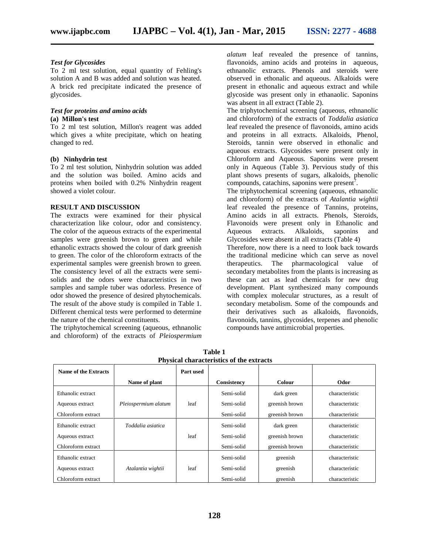### *Test for Glycosides*

To 2 ml test solution, equal quantity of Fehling's solution A and B was added and solution was heated. A brick red precipitate indicated the presence of glycosides.

### *Test for proteins and amino acids* **(a) Millon's test**

To 2 ml test solution, Millon's reagent was added which gives a white precipitate, which on heating changed to red.

### **(b) Ninhydrin test**

To 2 ml test solution, Ninhydrin solution was added and the solution was boiled. Amino acids and proteins when boiled with 0.2% Ninhydrin reagent showed a violet colour.

### **RESULT AND DISCUSSION**

The extracts were examined for their physical characterization like colour, odor and consistency. The color of the aqueous extracts of the experimental samples were greenish brown to green and while ethanolic extracts showed the colour of dark greenish to green. The color of the chloroform extracts of the experimental samples were greenish brown to green. The consistency level of all the extracts were semi solids and the odors were characteristics in two samples and sample tuber was odorless. Presence of odor showed the presence of desired phytochemicals. The result of the above study is compiled in Table 1. Different chemical tests were performed to determine the nature of the chemical constituents.

The triphytochemical screening (aqueous, ethnanolic and chloroform) of the extracts of *Pleiospermium* *alatum* leaf revealed the presence of tannins, flavonoids, amino acids and proteins in aqueous, ethnanolic extracts. Phenols and steroids were observed in ethonalic and aqueous. Alkaloids were present in ethonalic and aqueous extract and while glycoside was present only in ethanaolic. Saponins was absent in all extract (Table 2).

The triphytochemical screening (aqueous, ethnanolic and chloroform) of the extracts of *Toddalia asiatica* leaf revealed the presence of flavonoids, amino acids and proteins in all extracts. Alkaloids, Phenol, Steroids, tannin were observed in ethonalic and aqueous extracts. Glycosides were present only in Chloroform and Aqueous. Saponins were present only in Aqueous (Table 3). Pervious study of this plant shows presents of sugars, alkaloids, phenolic compounds, catachins, saponins were present<sup> $\bar{7}$ </sup>.

The triphytochemical screening (aqueous, ethnanolic and chloroform) of the extracts of *Atalantia wightii* leaf revealed the presence of Tannins, proteins, Amino acids in all extracts. Phenols, Steroids, Flavonoids were present only in Ethanolic and Aqueous extracts. Alkaloids, saponins and Glycosides were absent in all extracts (Table 4)

Therefore, now there is a need to look back towards the traditional medicine which can serve as novel therapeutics. The pharmacological value of secondary metabolites from the plants is increasing as these can act as lead chemicals for new drug development. Plant synthesized many compounds with complex molecular structures, as a result of secondary metabolism. Some of the compounds and their derivatives such as alkaloids, flavonoids, flavonoids, tannins, glycosides, terpenes and phenolic compounds have antimicrobial properties.

| Name of the Extracts |                      | Part used |             |                |                |
|----------------------|----------------------|-----------|-------------|----------------|----------------|
|                      | Name of plant        |           | Consistency | <b>Colour</b>  | Odor           |
| Ethanolic extract    |                      |           | Semi-solid  | dark green     | characteristic |
| Aqueous extract      | Pleiospermium alatum | leaf      | Semi-solid  | greenish brown | characteristic |
| Chloroform extract   |                      |           | Semi-solid  | greenish brown | characteristic |
| Ethanolic extract    | Toddalia asiatica    |           | Semi-solid  | dark green     | characteristic |
| Aqueous extract      |                      | leaf      | Semi-solid  | greenish brown | characteristic |
| Chloroform extract   |                      |           | Semi-solid  | greenish brown | characteristic |
| Ethanolic extract    |                      |           | Semi-solid  | greenish       | characteristic |
| Aqueous extract      | Atalantia wightii    | leaf      | Semi-solid  | greenish       | characteristic |
| Chloroform extract   |                      |           | Semi-solid  | greenish       | characteristic |

**Table 1 Physical characteristics of the extracts**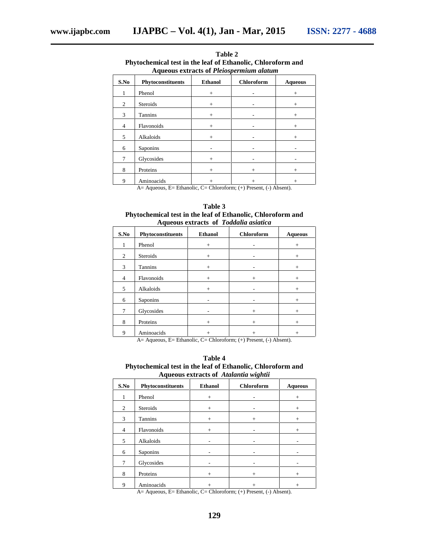| т нукосисинсат кел ни иле теат от плинанопе, слибтоготни апа<br><b>Aqueous extracts of Pleiospermium alatum</b> |                   |                |                   |                |
|-----------------------------------------------------------------------------------------------------------------|-------------------|----------------|-------------------|----------------|
| S.No                                                                                                            | Phytoconstituents | <b>Ethanol</b> | <b>Chloroform</b> | <b>Aqueous</b> |
| 1                                                                                                               | Phenol            | $+$            |                   | $+$            |
| 2                                                                                                               | <b>Steroids</b>   | $+$            |                   | $+$            |
| 3                                                                                                               | <b>Tannins</b>    | $+$            |                   | $+$            |
| $\overline{4}$                                                                                                  | Flavonoids        | $^{+}$         |                   | $^{+}$         |
| 5                                                                                                               | Alkaloids         | $+$            |                   | $+$            |
| 6                                                                                                               | Saponins          |                |                   |                |
| 7                                                                                                               | Glycosides        | $+$            |                   |                |
| 8                                                                                                               | Proteins          | $+$            | $+$               | $^{+}$         |
| 9                                                                                                               | Aminoacids        | $\overline{+}$ | $+$               | $+$            |

**Table 2 Phytochemical test in the leaf of Ethanolic, Chloroform and**

A= Aqueous, E= Ethanolic, C= Chloroform; (+) Present, (-) Absent).

| Table 3                                                     |
|-------------------------------------------------------------|
| Phytochemical test in the leaf of Ethanolic, Chloroform and |
| Aqueous extracts of Toddalia asiatica                       |

| .    |                   |                |            |                |
|------|-------------------|----------------|------------|----------------|
| S.No | Phytoconstituents | <b>Ethanol</b> | Chloroform | <b>Aqueous</b> |
| 1    | Phenol            | $+$            |            | $+$            |
| 2    | Steroids          | $+$            |            | $+$            |
| 3    | Tannins           | $+$            |            | $+$            |
| 4    | Flavonoids        | $+$            | $+$        | $+$            |
| 5    | Alkaloids         | $+$            |            | $+$            |
| 6    | Saponins          |                |            | $+$            |
| 7    | Glycosides        |                | $+$        | $+$            |
| 8    | Proteins          | $+$            | $+$        | $\overline{+}$ |
| 9    | Aminoacids        | $^+$           | $^+$       | $^+$           |

A= Aqueous, E= Ethanolic, C= Chloroform; (+) Present, (-) Absent).

**Table 4 Phytochemical test in the leaf of Ethanolic, Chloroform and Aqueous extracts of** *Atalantia wightii*

| $A$ gucous extracts or $A$ unamia wighth |                   |                |                |                |
|------------------------------------------|-------------------|----------------|----------------|----------------|
| S.No                                     | Phytoconstituents | <b>Ethanol</b> | Chloroform     | <b>Aqueous</b> |
| 1                                        | Phenol            | $+$            |                | $+$            |
| 2                                        | Steroids          | $^{+}$         |                | $^{+}$         |
| 3                                        | Tannins           | $+$            | $^{+}$         | $^{+}$         |
| $\overline{4}$                           | Flavonoids        | $^{+}$         |                | $+$            |
| 5                                        | Alkaloids         |                |                |                |
| 6                                        | Saponins          |                |                |                |
| 7                                        | Glycosides        |                |                |                |
| 8                                        | Proteins          | $+$            | $+$            | $^{+}$         |
| 9                                        | Aminoacids        | $^{+}$         | $\overline{+}$ | $+$            |

A= Aqueous, E= Ethanolic, C= Chloroform; (+) Present, (-) Absent).